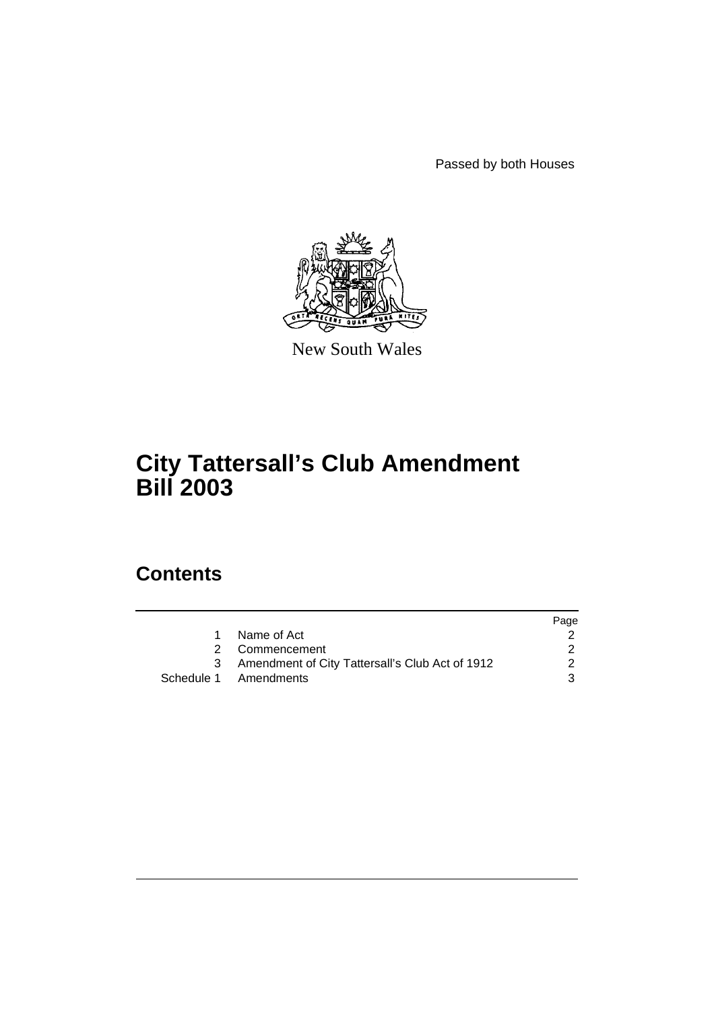Passed by both Houses



New South Wales

# **City Tattersall's Club Amendment Bill 2003**

## **Contents**

|                                                 | Page |
|-------------------------------------------------|------|
| Name of Act                                     |      |
| 2 Commencement                                  |      |
| Amendment of City Tattersall's Club Act of 1912 | 2    |
| Schedule 1 Amendments                           | 3    |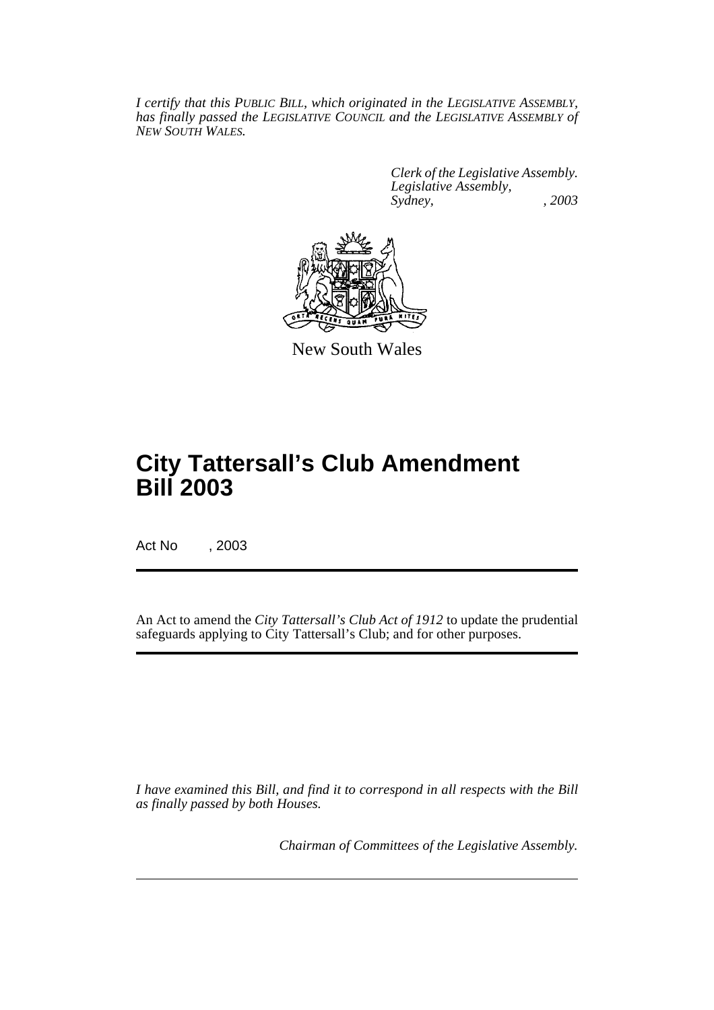*I certify that this PUBLIC BILL, which originated in the LEGISLATIVE ASSEMBLY, has finally passed the LEGISLATIVE COUNCIL and the LEGISLATIVE ASSEMBLY of NEW SOUTH WALES.*

> *Clerk of the Legislative Assembly. Legislative Assembly, Sydney, , 2003*



New South Wales

# **City Tattersall's Club Amendment Bill 2003**

Act No , 2003

An Act to amend the *City Tattersall's Club Act of 1912* to update the prudential safeguards applying to City Tattersall's Club; and for other purposes.

*I have examined this Bill, and find it to correspond in all respects with the Bill as finally passed by both Houses.*

*Chairman of Committees of the Legislative Assembly.*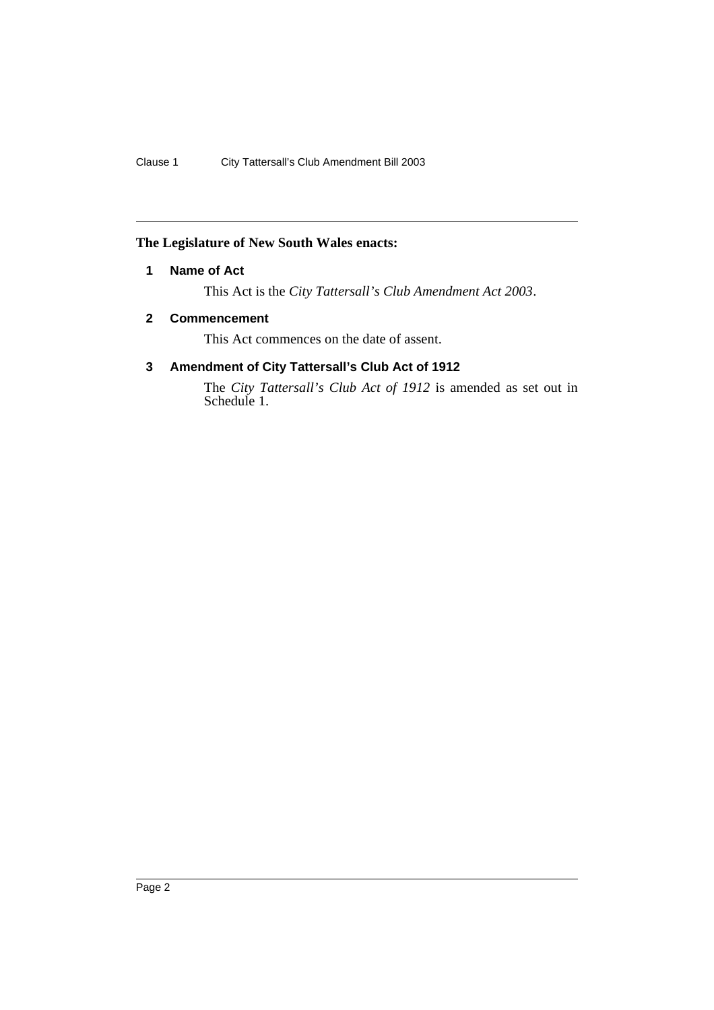## **The Legislature of New South Wales enacts:**

## **1 Name of Act**

This Act is the *City Tattersall's Club Amendment Act 2003*.

### **2 Commencement**

This Act commences on the date of assent.

## **3 Amendment of City Tattersall's Club Act of 1912**

The *City Tattersall's Club Act of 1912* is amended as set out in Schedule 1.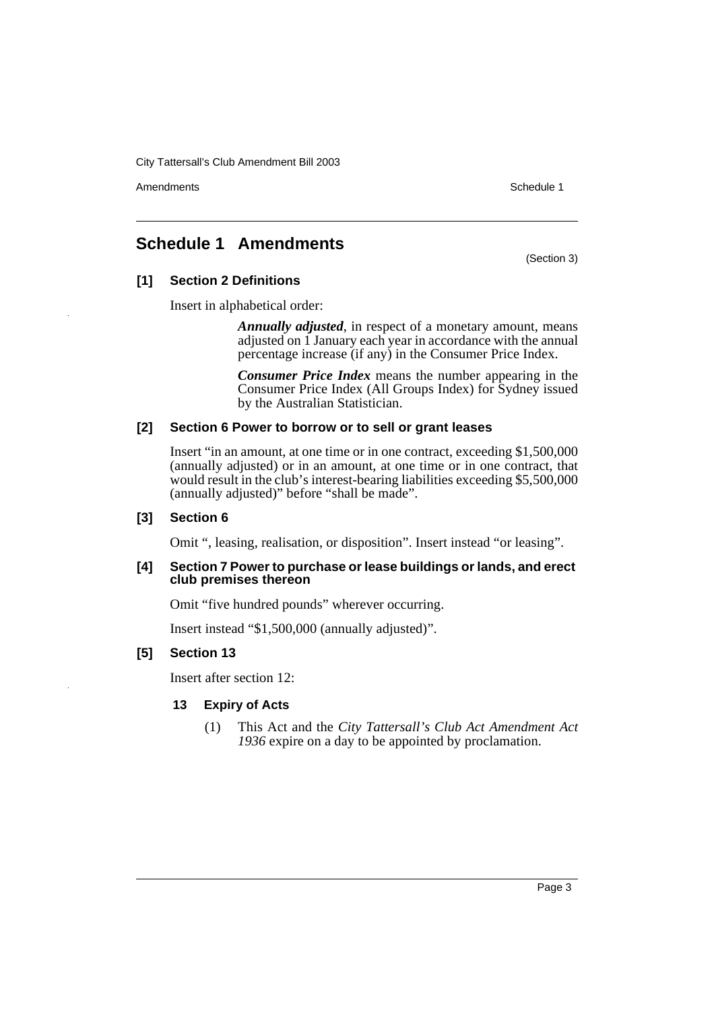City Tattersall's Club Amendment Bill 2003

Amendments **Schedule 1** and the set of the set of the set of the set of the set of the set of the set of the set of the set of the set of the set of the set of the set of the set of the set of the set of the set of the set

## **Schedule 1 Amendments**

(Section 3)

## **[1] Section 2 Definitions**

Insert in alphabetical order:

*Annually adjusted*, in respect of a monetary amount, means adjusted on 1 January each year in accordance with the annual percentage increase (if any) in the Consumer Price Index.

*Consumer Price Index* means the number appearing in the Consumer Price Index (All Groups Index) for Sydney issued by the Australian Statistician.

### **[2] Section 6 Power to borrow or to sell or grant leases**

Insert "in an amount, at one time or in one contract, exceeding \$1,500,000 (annually adjusted) or in an amount, at one time or in one contract, that would result in the club's interest-bearing liabilities exceeding \$5,500,000 (annually adjusted)" before "shall be made".

### **[3] Section 6**

Omit ", leasing, realisation, or disposition". Insert instead "or leasing".

#### **[4] Section 7 Power to purchase or lease buildings or lands, and erect club premises thereon**

Omit "five hundred pounds" wherever occurring.

Insert instead "\$1,500,000 (annually adjusted)".

### **[5] Section 13**

Insert after section 12:

### **13 Expiry of Acts**

(1) This Act and the *City Tattersall's Club Act Amendment Act 1936* expire on a day to be appointed by proclamation.